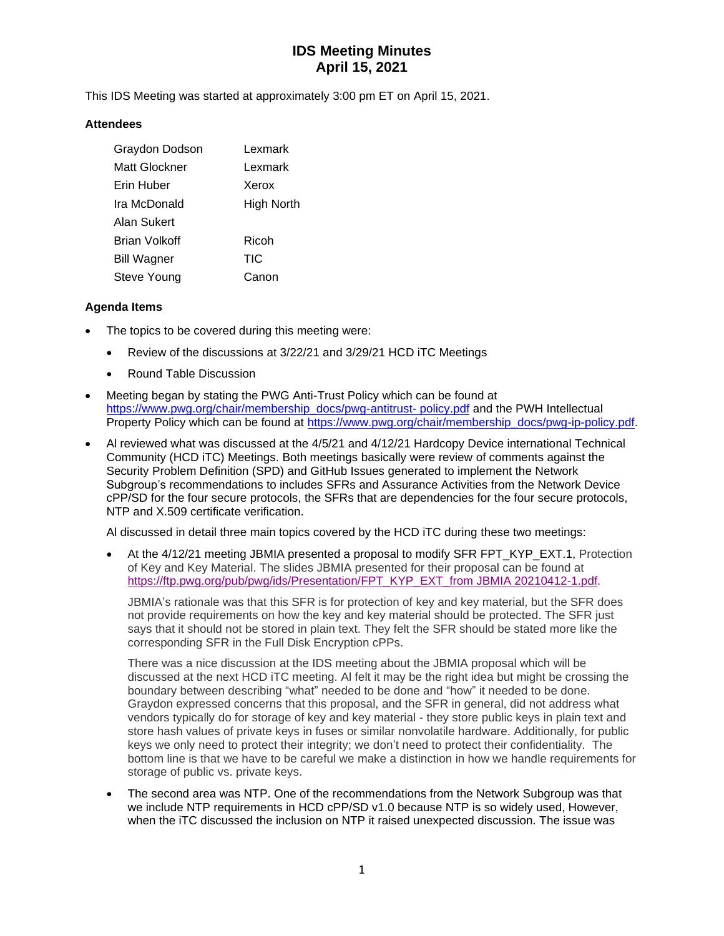# **IDS Meeting Minutes April 15, 2021**

This IDS Meeting was started at approximately 3:00 pm ET on April 15, 2021.

### **Attendees**

| Graydon Dodson     | Lexmark    |
|--------------------|------------|
| Matt Glockner      | Lexmark    |
| Erin Huber         | Xerox      |
| Ira McDonald       | High North |
| Alan Sukert        |            |
| Brian Volkoff      | Ricoh      |
| <b>Bill Wagner</b> | <b>TIC</b> |
| Steve Young        | Canon      |

### **Agenda Items**

- The topics to be covered during this meeting were:
	- Review of the discussions at 3/22/21 and 3/29/21 HCD iTC Meetings
	- Round Table Discussion
- Meeting began by stating the PWG Anti-Trust Policy which can be found at [https://www.pwg.org/chair/membership\\_docs/pwg-antitrust-](https://www.pwg.org/chair/membership_docs/pwg-antitrust-%20policy.pdf) policy.pdf and the PWH Intellectual Property Policy which can be found at [https://www.pwg.org/chair/membership\\_docs/pwg-ip-policy.pdf.](https://www.pwg.org/chair/membership_docs/pwg-ip-policy.pdf)
- Al reviewed what was discussed at the 4/5/21 and 4/12/21 Hardcopy Device international Technical Community (HCD iTC) Meetings. Both meetings basically were review of comments against the Security Problem Definition (SPD) and GitHub Issues generated to implement the Network Subgroup's recommendations to includes SFRs and Assurance Activities from the Network Device cPP/SD for the four secure protocols, the SFRs that are dependencies for the four secure protocols, NTP and X.509 certificate verification.

Al discussed in detail three main topics covered by the HCD iTC during these two meetings:

• At the 4/12/21 meeting JBMIA presented a proposal to modify SFR FPT\_KYP\_EXT.1, Protection of Key and Key Material. The slides JBMIA presented for their proposal can be found at [https://ftp.pwg.org/pub/pwg/ids/Presentation/FPT\\_KYP\\_EXT\\_from JBMIA 20210412-1.pdf.](https://ftp.pwg.org/pub/pwg/ids/Presentation/FPT_KYP_EXT_from%20JBMIA%2020210412-1.pdf)

JBMIA's rationale was that this SFR is for protection of key and key material, but the SFR does not provide requirements on how the key and key material should be protected. The SFR just says that it should not be stored in plain text. They felt the SFR should be stated more like the corresponding SFR in the Full Disk Encryption cPPs.

There was a nice discussion at the IDS meeting about the JBMIA proposal which will be discussed at the next HCD iTC meeting. Al felt it may be the right idea but might be crossing the boundary between describing "what" needed to be done and "how" it needed to be done. Graydon expressed concerns that this proposal, and the SFR in general, did not address what vendors typically do for storage of key and key material - they store public keys in plain text and store hash values of private keys in fuses or similar nonvolatile hardware. Additionally, for public keys we only need to protect their integrity; we don't need to protect their confidentiality. The bottom line is that we have to be careful we make a distinction in how we handle requirements for storage of public vs. private keys.

The second area was NTP. One of the recommendations from the Network Subgroup was that we include NTP requirements in HCD cPP/SD v1.0 because NTP is so widely used, However, when the iTC discussed the inclusion on NTP it raised unexpected discussion. The issue was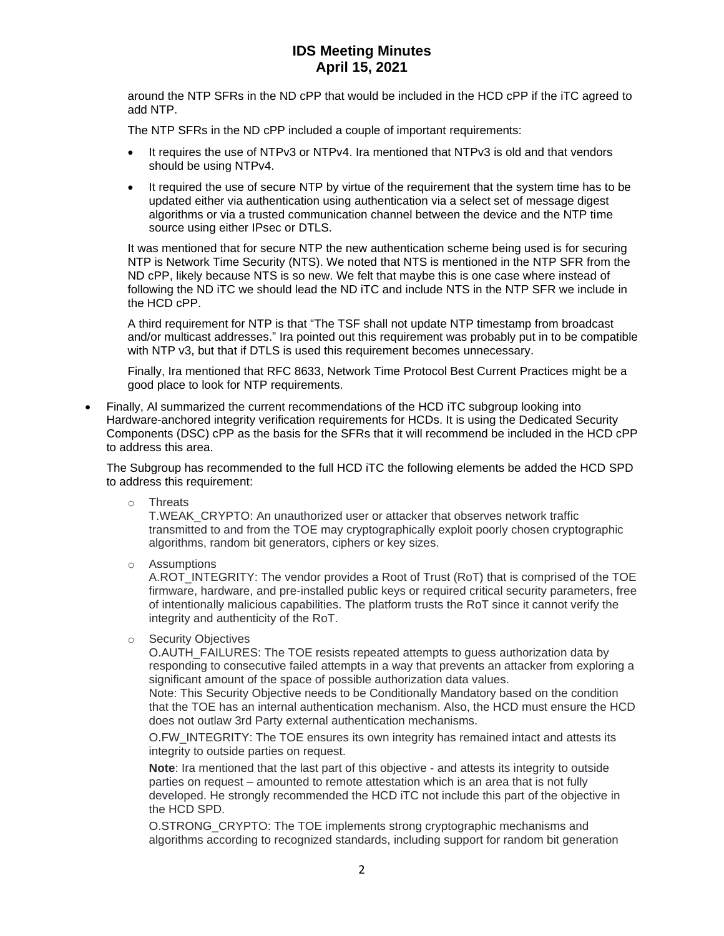## **IDS Meeting Minutes April 15, 2021**

around the NTP SFRs in the ND cPP that would be included in the HCD cPP if the iTC agreed to add NTP.

The NTP SFRs in the ND cPP included a couple of important requirements:

- It requires the use of NTPv3 or NTPv4. Ira mentioned that NTPv3 is old and that vendors should be using NTPv4.
- It required the use of secure NTP by virtue of the requirement that the system time has to be updated either via authentication using authentication via a select set of message digest algorithms or via a trusted communication channel between the device and the NTP time source using either IPsec or DTLS.

It was mentioned that for secure NTP the new authentication scheme being used is for securing NTP is Network Time Security (NTS). We noted that NTS is mentioned in the NTP SFR from the ND cPP, likely because NTS is so new. We felt that maybe this is one case where instead of following the ND iTC we should lead the ND iTC and include NTS in the NTP SFR we include in the HCD cPP.

A third requirement for NTP is that "The TSF shall not update NTP timestamp from broadcast and/or multicast addresses." Ira pointed out this requirement was probably put in to be compatible with NTP v3, but that if DTLS is used this requirement becomes unnecessary.

Finally, Ira mentioned that RFC 8633, Network Time Protocol Best Current Practices might be a good place to look for NTP requirements.

• Finally, Al summarized the current recommendations of the HCD iTC subgroup looking into Hardware-anchored integrity verification requirements for HCDs. It is using the Dedicated Security Components (DSC) cPP as the basis for the SFRs that it will recommend be included in the HCD cPP to address this area.

The Subgroup has recommended to the full HCD iTC the following elements be added the HCD SPD to address this requirement:

o Threats

T.WEAK\_CRYPTO: An unauthorized user or attacker that observes network traffic transmitted to and from the TOE may cryptographically exploit poorly chosen cryptographic algorithms, random bit generators, ciphers or key sizes.

o Assumptions

A.ROT\_INTEGRITY: The vendor provides a Root of Trust (RoT) that is comprised of the TOE firmware, hardware, and pre-installed public keys or required critical security parameters, free of intentionally malicious capabilities. The platform trusts the RoT since it cannot verify the integrity and authenticity of the RoT.

o Security Objectives

O.AUTH\_FAILURES: The TOE resists repeated attempts to guess authorization data by responding to consecutive failed attempts in a way that prevents an attacker from exploring a significant amount of the space of possible authorization data values.

Note: This Security Objective needs to be Conditionally Mandatory based on the condition that the TOE has an internal authentication mechanism. Also, the HCD must ensure the HCD does not outlaw 3rd Party external authentication mechanisms.

O.FW\_INTEGRITY: The TOE ensures its own integrity has remained intact and attests its integrity to outside parties on request.

**Note**: Ira mentioned that the last part of this objective - and attests its integrity to outside parties on request – amounted to remote attestation which is an area that is not fully developed. He strongly recommended the HCD iTC not include this part of the objective in the HCD SPD.

O.STRONG\_CRYPTO: The TOE implements strong cryptographic mechanisms and algorithms according to recognized standards, including support for random bit generation